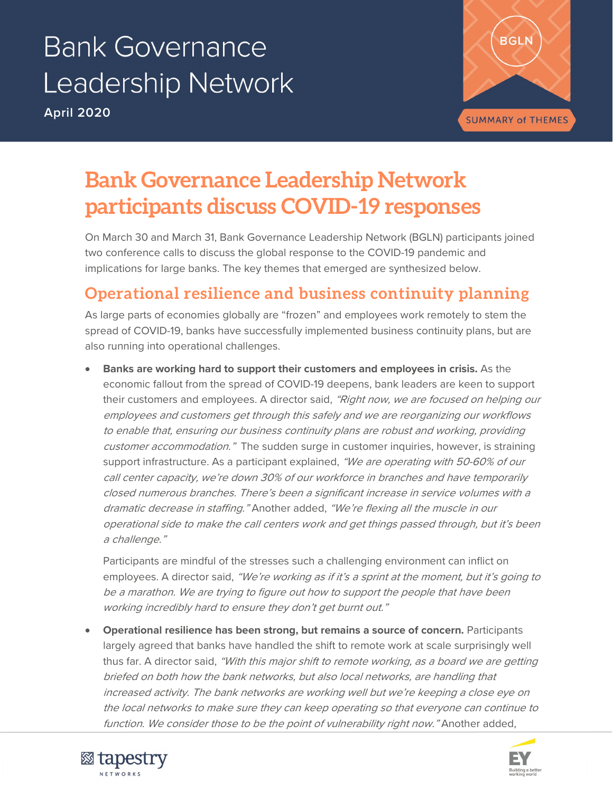# **Bank Governance Leadership Network**

**April 2020**



## **Bank Governance Leadership Network participants discuss COVID-19 responses**

On March 30 and March 31, Bank Governance Leadership Network (BGLN) participants joined two conference calls to discuss the global response to the COVID-19 pandemic and implications for large banks. The key themes that emerged are synthesized below.

## **Operational resilience and business continuity planning**

As large parts of economies globally are "frozen" and employees work remotely to stem the spread of COVID-19, banks have successfully implemented business continuity plans, but are also running into operational challenges.

• **Banks are working hard to support their customers and employees in crisis.** As the economic fallout from the spread of COVID-19 deepens, bank leaders are keen to support their customers and employees. A director said, "Right now, we are focused on helping our employees and customers get through this safely and we are reorganizing our workflows to enable that, ensuring our business continuity plans are robust and working, providing customer accommodation." The sudden surge in customer inquiries, however, is straining support infrastructure. As a participant explained, "We are operating with 50-60% of our call center capacity, we're down 30% of our workforce in branches and have temporarily closed numerous branches. There's been a significant increase in service volumes with a dramatic decrease in staffing." Another added, "We're flexing all the muscle in our operational side to make the call centers work and get things passed through, but it's been a challenge."

Participants are mindful of the stresses such a challenging environment can inflict on employees. A director said, "We're working as if it's a sprint at the moment, but it's going to be a marathon. We are trying to figure out how to support the people that have been working incredibly hard to ensure they don't get burnt out."

• **Operational resilience has been strong, but remains a source of concern.** Participants largely agreed that banks have handled the shift to remote work at scale surprisingly well thus far. A director said, "With this major shift to remote working, as a board we are getting briefed on both how the bank networks, but also local networks, are handling that increased activity. The bank networks are working well but we're keeping a close eye on the local networks to make sure they can keep operating so that everyone can continue to function. We consider those to be the point of vulnerability right now." Another added,



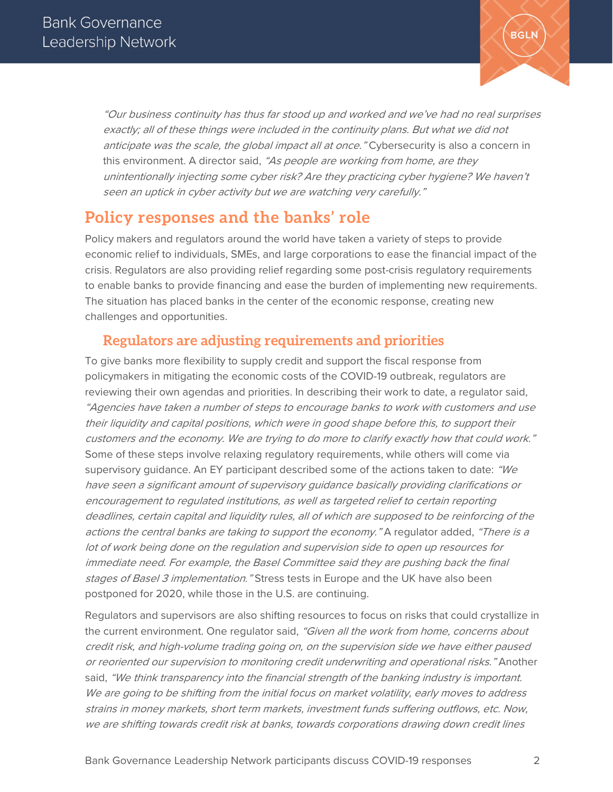

"Our business continuity has thus far stood up and worked and we've had no real surprises exactly; all of these things were included in the continuity plans. But what we did not anticipate was the scale, the global impact all at once." Cybersecurity is also a concern in this environment. A director said, "As people are working from home, are they unintentionally injecting some cyber risk? Are they practicing cyber hygiene? We haven't seen an uptick in cyber activity but we are watching very carefully."

## **Policy responses and the banks' role**

Policy makers and regulators around the world have taken a variety of steps to provide economic relief to individuals, SMEs, and large corporations to ease the financial impact of the crisis. Regulators are also providing relief regarding some post-crisis regulatory requirements to enable banks to provide financing and ease the burden of implementing new requirements. The situation has placed banks in the center of the economic response, creating new challenges and opportunities.

## **Regulators are adjusting requirements and priorities**

To give banks more flexibility to supply credit and support the fiscal response from policymakers in mitigating the economic costs of the COVID-19 outbreak, regulators are reviewing their own agendas and priorities. In describing their work to date, a regulator said, "Agencies have taken a number of steps to encourage banks to work with customers and use their liquidity and capital positions, which were in good shape before this, to support their customers and the economy. We are trying to do more to clarify exactly how that could work." Some of these steps involve relaxing regulatory requirements, while others will come via supervisory quidance. An EY participant described some of the actions taken to date: "We have seen a significant amount of supervisory guidance basically providing clarifications or encouragement to regulated institutions, as well as targeted relief to certain reporting deadlines, certain capital and liquidity rules, all of which are supposed to be reinforcing of the actions the central banks are taking to support the economy." A regulator added, "There is a lot of work being done on the regulation and supervision side to open up resources for immediate need. For example, the Basel Committee said they are pushing back the final stages of Basel 3 implementation." Stress tests in Europe and the UK have also been postponed for 2020, while those in the U.S. are continuing.

Regulators and supervisors are also shifting resources to focus on risks that could crystallize in the current environment. One regulator said, "Given all the work from home, concerns about credit risk, and high-volume trading going on, on the supervision side we have either paused or reoriented our supervision to monitoring credit underwriting and operational risks." Another said, "We think transparency into the financial strength of the banking industry is important. We are going to be shifting from the initial focus on market volatility, early moves to address strains in money markets, short term markets, investment funds suffering outflows, etc. Now, we are shifting towards credit risk at banks, towards corporations drawing down credit lines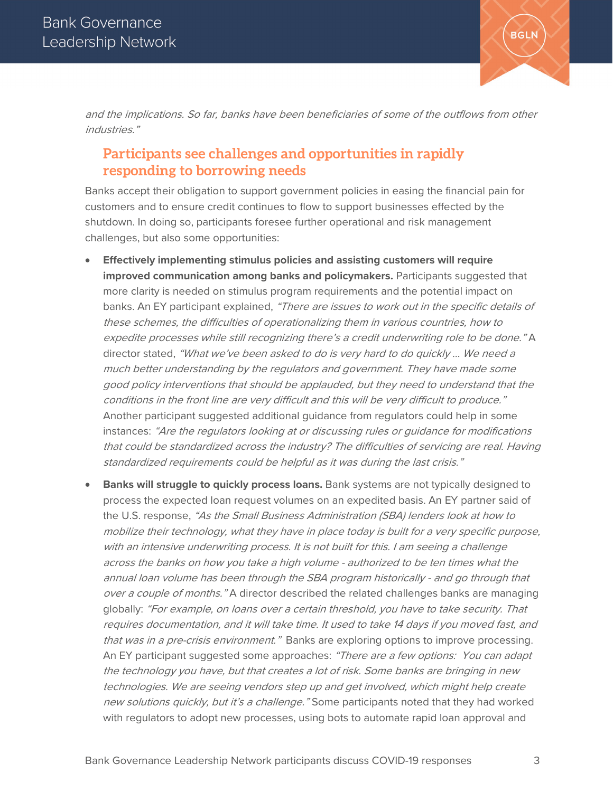

and the implications. So far, banks have been beneficiaries of some of the outflows from other industries."

## **Participants see challenges and opportunities in rapidly responding to borrowing needs**

Banks accept their obligation to support government policies in easing the financial pain for customers and to ensure credit continues to flow to support businesses effected by the shutdown. In doing so, participants foresee further operational and risk management challenges, but also some opportunities:

- **Effectively implementing stimulus policies and assisting customers will require improved communication among banks and policymakers.** Participants suggested that more clarity is needed on stimulus program requirements and the potential impact on banks. An EY participant explained, "There are issues to work out in the specific details of these schemes, the difficulties of operationalizing them in various countries, how to expedite processes while still recognizing there's a credit underwriting role to be done." A director stated, "What we've been asked to do is very hard to do quickly ... We need a much better understanding by the regulators and government. They have made some good policy interventions that should be applauded, but they need to understand that the conditions in the front line are very difficult and this will be very difficult to produce." Another participant suggested additional guidance from regulators could help in some instances: "Are the regulators looking at or discussing rules or guidance for modifications that could be standardized across the industry? The difficulties of servicing are real. Having standardized requirements could be helpful as it was during the last crisis."
- **Banks will struggle to quickly process loans.** Bank systems are not typically designed to process the expected loan request volumes on an expedited basis. An EY partner said of the U.S. response, "As the Small Business Administration (SBA) lenders look at how to mobilize their technology, what they have in place today is built for a very specific purpose, with an intensive underwriting process. It is not built for this. I am seeing a challenge across the banks on how you take a high volume - authorized to be ten times what the annual loan volume has been through the SBA program historically - and go through that over a couple of months." A director described the related challenges banks are managing globally: "For example, on loans over a certain threshold, you have to take security. That requires documentation, and it will take time. It used to take 14 days if you moved fast, and that was in a pre-crisis environment." Banks are exploring options to improve processing. An EY participant suggested some approaches: "There are a few options: You can adapt the technology you have, but that creates a lot of risk. Some banks are bringing in new technologies. We are seeing vendors step up and get involved, which might help create new solutions quickly, but it's a challenge." Some participants noted that they had worked with regulators to adopt new processes, using bots to automate rapid loan approval and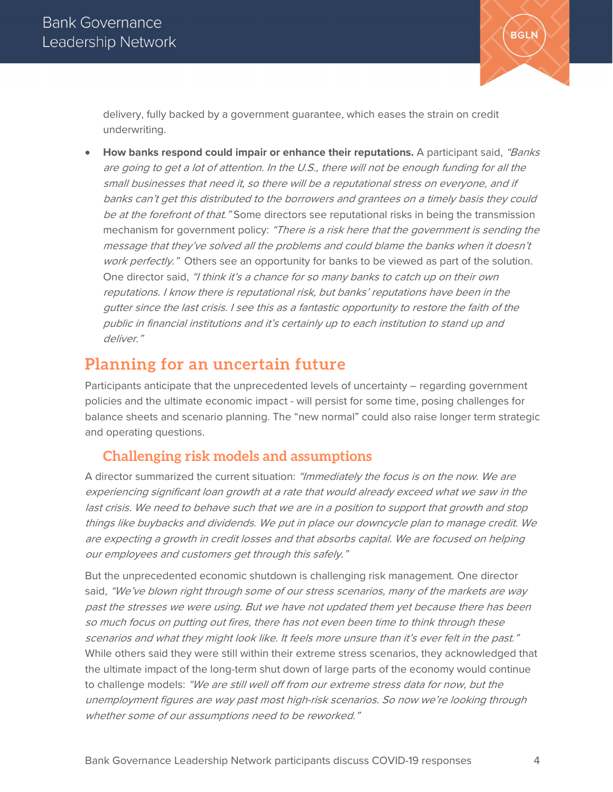

delivery, fully backed by a government guarantee, which eases the strain on credit underwriting.

• **How banks respond could impair or enhance their reputations.** A participant said, "Banks are going to get a lot of attention. In the U.S., there will not be enough funding for all the small businesses that need it, so there will be a reputational stress on everyone, and if banks can't get this distributed to the borrowers and grantees on a timely basis they could be at the forefront of that." Some directors see reputational risks in being the transmission mechanism for government policy: "There is a risk here that the government is sending the message that they've solved all the problems and could blame the banks when it doesn't work perfectly." Others see an opportunity for banks to be viewed as part of the solution. One director said, "I think it's a chance for so many banks to catch up on their own reputations. I know there is reputational risk, but banks' reputations have been in the gutter since the last crisis. I see this as a fantastic opportunity to restore the faith of the public in financial institutions and it's certainly up to each institution to stand up and deliver."

## **Planning for an uncertain future**

Participants anticipate that the unprecedented levels of uncertainty – regarding government policies and the ultimate economic impact - will persist for some time, posing challenges for balance sheets and scenario planning. The "new normal" could also raise longer term strategic and operating questions.

## **Challenging risk models and assumptions**

A director summarized the current situation: "Immediately the focus is on the now. We are experiencing significant loan growth at a rate that would already exceed what we saw in the last crisis. We need to behave such that we are in a position to support that growth and stop things like buybacks and dividends. We put in place our downcycle plan to manage credit. We are expecting a growth in credit losses and that absorbs capital. We are focused on helping our employees and customers get through this safely."

But the unprecedented economic shutdown is challenging risk management. One director said, "We've blown right through some of our stress scenarios, many of the markets are way past the stresses we were using. But we have not updated them yet because there has been so much focus on putting out fires, there has not even been time to think through these scenarios and what they might look like. It feels more unsure than it's ever felt in the past." While others said they were still within their extreme stress scenarios, they acknowledged that the ultimate impact of the long-term shut down of large parts of the economy would continue to challenge models: "We are still well off from our extreme stress data for now, but the unemployment figures are way past most high-risk scenarios. So now we're looking through whether some of our assumptions need to be reworked."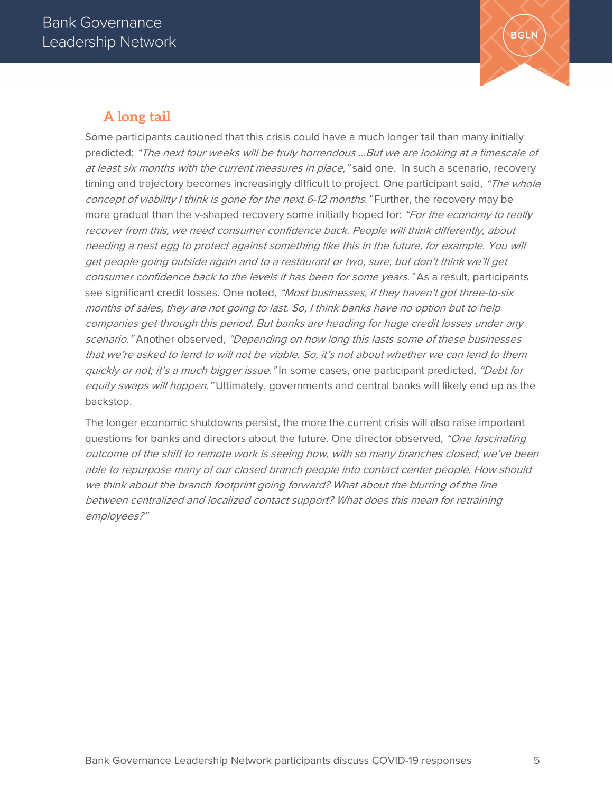

## **A long tail**

Some participants cautioned that this crisis could have a much longer tail than many initially predicted: "The next four weeks will be truly horrendous ...But we are looking at a timescale of at least six months with the current measures in place, "said one. In such a scenario, recovery timing and trajectory becomes increasingly difficult to project. One participant said, "The whole concept of viability I think is gone for the next 6-12 months." Further, the recovery may be more gradual than the v-shaped recovery some initially hoped for: "For the economy to really recover from this, we need consumer confidence back. People will think differently, about needing a nest egg to protect against something like this in the future, for example. You will get people going outside again and to a restaurant or two, sure, but don't think we'll get consumer confidence back to the levels it has been for some years." As a result, participants see significant credit losses. One noted, "Most businesses, if they haven't got three-to-six months of sales, they are not going to last. So, I think banks have no option but to help companies get through this period. But banks are heading for huge credit losses under any scenario." Another observed, "Depending on how long this lasts some of these businesses that we're asked to lend to will not be viable. So, it's not about whether we can lend to them quickly or not; it's a much bigger issue." In some cases, one participant predicted, "Debt for equity swaps will happen." Ultimately, governments and central banks will likely end up as the backstop.

The longer economic shutdowns persist, the more the current crisis will also raise important questions for banks and directors about the future. One director observed, "One fascinating outcome of the shift to remote work is seeing how, with so many branches closed, we've been able to repurpose many of our closed branch people into contact center people. How should we think about the branch footprint going forward? What about the blurring of the line between centralized and localized contact support? What does this mean for retraining employees?"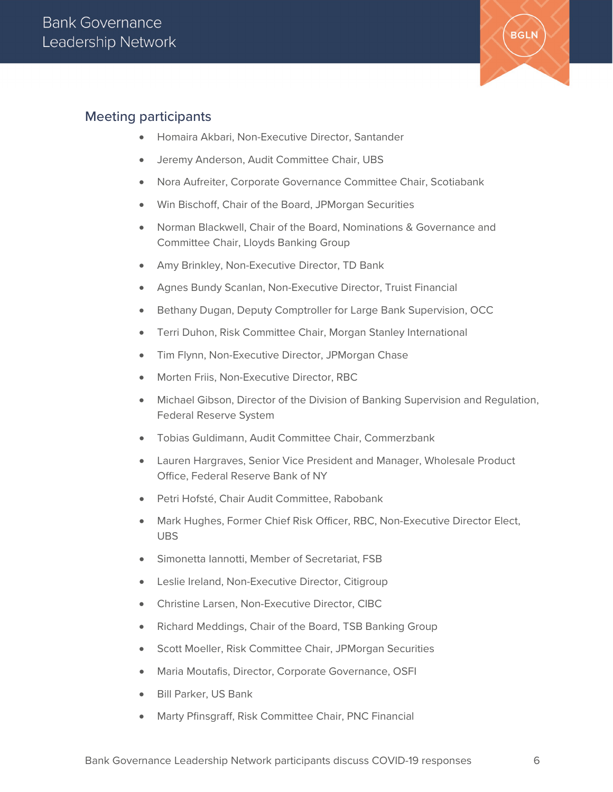

#### Meeting participants

- Homaira Akbari, Non-Executive Director, Santander
- Jeremy Anderson, Audit Committee Chair, UBS
- Nora Aufreiter, Corporate Governance Committee Chair, Scotiabank
- Win Bischoff, Chair of the Board, JPMorgan Securities
- Norman Blackwell, Chair of the Board, Nominations & Governance and Committee Chair, Lloyds Banking Group
- Amy Brinkley, Non-Executive Director, TD Bank
- Agnes Bundy Scanlan, Non-Executive Director, Truist Financial
- Bethany Dugan, Deputy Comptroller for Large Bank Supervision, OCC
- Terri Duhon, Risk Committee Chair, Morgan Stanley International
- Tim Flynn, Non-Executive Director, JPMorgan Chase
- Morten Friis, Non-Executive Director, RBC
- Michael Gibson, Director of the Division of Banking Supervision and Regulation, Federal Reserve System
- Tobias Guldimann, Audit Committee Chair, Commerzbank
- Lauren Hargraves, Senior Vice President and Manager, Wholesale Product Office, Federal Reserve Bank of NY
- Petri Hofsté, Chair Audit Committee, Rabobank
- Mark Hughes, Former Chief Risk Officer, RBC, Non-Executive Director Elect, UBS
- Simonetta Iannotti, Member of Secretariat, FSB
- Leslie Ireland, Non-Executive Director, Citigroup
- Christine Larsen, Non-Executive Director, CIBC
- Richard Meddings, Chair of the Board, TSB Banking Group
- Scott Moeller, Risk Committee Chair, JPMorgan Securities
- Maria Moutafis, Director, Corporate Governance, OSFI
- Bill Parker, US Bank
- Marty Pfinsgraff, Risk Committee Chair, PNC Financial